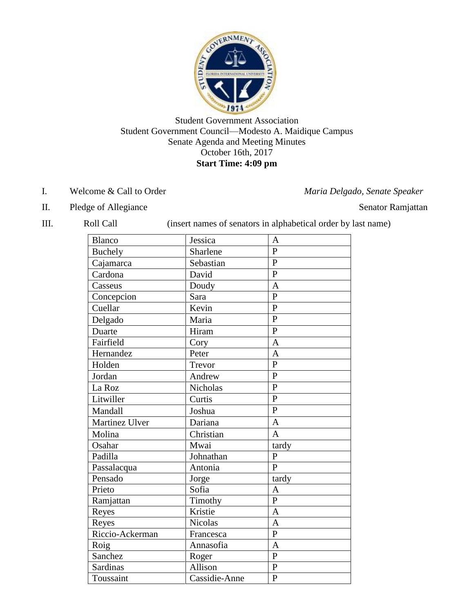

# Student Government Association Student Government Council—Modesto A. Maidique Campus Senate Agenda and Meeting Minutes October 16th, 2017 **Start Time: 4:09 pm**

- I. Welcome & Call to Order *Maria Delgado, Senate Speaker*
- II. Pledge of Allegiance Senator Ramjattan

| Ш.<br>Roll Call | (insert names of senators in alphabetical order by last name) |  |
|-----------------|---------------------------------------------------------------|--|
|                 |                                                               |  |

| Blanco          | Jessica         | A              |
|-----------------|-----------------|----------------|
| <b>Buchely</b>  | Sharlene        | $\mathbf{P}$   |
| Cajamarca       | Sebastian       | $\mathbf{P}$   |
| Cardona         | David           | $\mathbf{P}$   |
| Casseus         | Doudy           | $\overline{A}$ |
| Concepcion      | Sara            | $\mathbf{P}$   |
| Cuellar         | Kevin           | $\overline{P}$ |
| Delgado         | Maria           | $\mathbf{P}$   |
| Duarte          | Hiram           | $\overline{P}$ |
| Fairfield       | Cory            | $\overline{A}$ |
| Hernandez       | Peter           | $\mathbf{A}$   |
| Holden          | Trevor          | $\overline{P}$ |
| Jordan          | Andrew          | P              |
| La Roz          | <b>Nicholas</b> | $\overline{P}$ |
| Litwiller       | Curtis          | $\mathbf{P}$   |
| Mandall         | Joshua          | $\overline{P}$ |
| Martinez Ulver  | Dariana         | $\overline{A}$ |
| Molina          | Christian       | $\overline{A}$ |
| Osahar          | Mwai            | tardy          |
| Padilla         | Johnathan       | P              |
| Passalacqua     | Antonia         | $\overline{P}$ |
| Pensado         | Jorge           | tardy          |
| Prieto          | Sofia           | $\overline{A}$ |
| Ramjattan       | Timothy         | $\overline{P}$ |
| Reyes           | Kristie         | $\overline{A}$ |
| Reyes           | <b>Nicolas</b>  | $\overline{A}$ |
| Riccio-Ackerman | Francesca       | $\mathbf{P}$   |
| Roig            | Annasofia       | $\overline{A}$ |
| Sanchez         | Roger           | $\overline{P}$ |
| Sardinas        | Allison         | $\mathbf{P}$   |
| Toussaint       | Cassidie-Anne   | $\overline{P}$ |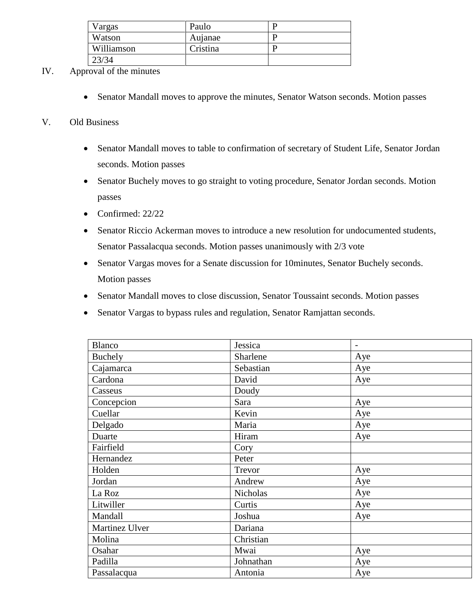| Vargas     | Paulo    |  |
|------------|----------|--|
| Watson     | Aujanae  |  |
| Williamson | Cristina |  |
| 23/34      |          |  |

- IV. Approval of the minutes
	- Senator Mandall moves to approve the minutes, Senator Watson seconds. Motion passes

### V. Old Business

- Senator Mandall moves to table to confirmation of secretary of Student Life, Senator Jordan seconds. Motion passes
- Senator Buchely moves to go straight to voting procedure, Senator Jordan seconds. Motion passes
- Confirmed:  $22/22$
- Senator Riccio Ackerman moves to introduce a new resolution for undocumented students, Senator Passalacqua seconds. Motion passes unanimously with 2/3 vote
- Senator Vargas moves for a Senate discussion for 10minutes, Senator Buchely seconds. Motion passes
- Senator Mandall moves to close discussion, Senator Toussaint seconds. Motion passes
- Senator Vargas to bypass rules and regulation, Senator Ramjattan seconds.

| <b>Blanco</b>  | Jessica   | $\overline{\phantom{a}}$ |
|----------------|-----------|--------------------------|
| Buchely        | Sharlene  | Aye                      |
| Cajamarca      | Sebastian | Aye                      |
| Cardona        | David     | Aye                      |
| Casseus        | Doudy     |                          |
| Concepcion     | Sara      | Aye                      |
| Cuellar        | Kevin     | Aye                      |
| Delgado        | Maria     | Aye                      |
| Duarte         | Hiram     | Aye                      |
| Fairfield      | Cory      |                          |
| Hernandez      | Peter     |                          |
| Holden         | Trevor    | Aye                      |
| Jordan         | Andrew    | Aye                      |
| La Roz         | Nicholas  | Aye                      |
| Litwiller      | Curtis    | Aye                      |
| Mandall        | Joshua    | Aye                      |
| Martinez Ulver | Dariana   |                          |
| Molina         | Christian |                          |
| Osahar         | Mwai      | Aye                      |
| Padilla        | Johnathan | Aye                      |
| Passalacqua    | Antonia   | Aye                      |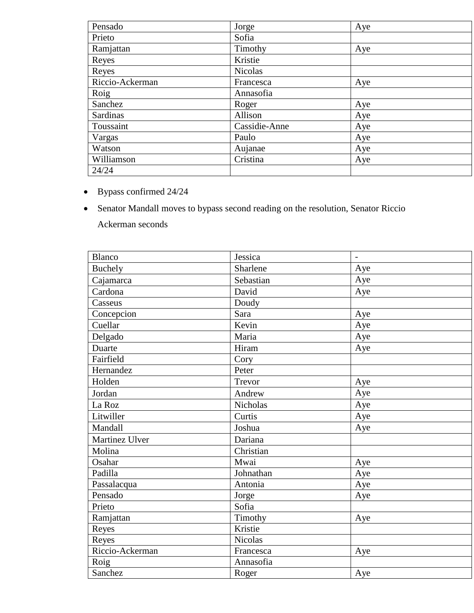| Pensado         | Jorge          | Aye |
|-----------------|----------------|-----|
| Prieto          | Sofia          |     |
| Ramjattan       | Timothy        | Aye |
| Reyes           | Kristie        |     |
| Reyes           | <b>Nicolas</b> |     |
| Riccio-Ackerman | Francesca      | Aye |
| Roig            | Annasofia      |     |
| Sanchez         | Roger          | Aye |
| Sardinas        | Allison        | Aye |
| Toussaint       | Cassidie-Anne  | Aye |
| Vargas          | Paulo          | Aye |
| Watson          | Aujanae        | Aye |
| Williamson      | Cristina       | Aye |
| 24/24           |                |     |

- Bypass confirmed 24/24
- Senator Mandall moves to bypass second reading on the resolution, Senator Riccio Ackerman seconds

| Blanco          | Jessica         | $\overline{\phantom{a}}$ |
|-----------------|-----------------|--------------------------|
| <b>Buchely</b>  | Sharlene        | Aye                      |
| Cajamarca       | Sebastian       | Aye                      |
| Cardona         | David           | Aye                      |
| Casseus         | Doudy           |                          |
| Concepcion      | Sara            | Aye                      |
| Cuellar         | Kevin           | Aye                      |
| Delgado         | Maria           | Aye                      |
| Duarte          | Hiram           | Aye                      |
| Fairfield       | Cory            |                          |
| Hernandez       | Peter           |                          |
| Holden          | Trevor          | Aye                      |
| Jordan          | Andrew          | Aye                      |
| La Roz          | <b>Nicholas</b> | Aye                      |
| Litwiller       | Curtis          | Aye                      |
| Mandall         | Joshua          | Aye                      |
| Martinez Ulver  | Dariana         |                          |
| Molina          | Christian       |                          |
| Osahar          | Mwai            | Aye                      |
| Padilla         | Johnathan       | Aye                      |
| Passalacqua     | Antonia         | Aye                      |
| Pensado         | Jorge           | Aye                      |
| Prieto          | Sofia           |                          |
| Ramjattan       | Timothy         | Aye                      |
| Reyes           | Kristie         |                          |
| Reyes           | <b>Nicolas</b>  |                          |
| Riccio-Ackerman | Francesca       | Aye                      |
| Roig            | Annasofia       |                          |
| Sanchez         | Roger           | Aye                      |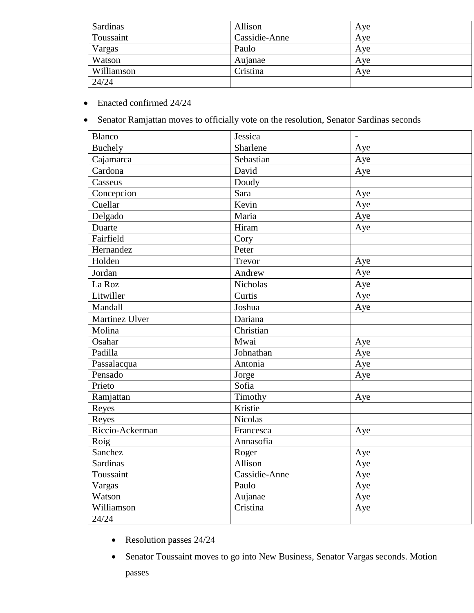| Sardinas   | Allison       | Aye |
|------------|---------------|-----|
| Toussaint  | Cassidie-Anne | Aye |
| Vargas     | Paulo         | Ave |
| Watson     | Aujanae       | Ave |
| Williamson | Cristina      | Ave |
| 24/24      |               |     |

- Enacted confirmed 24/24
- Senator Ramjattan moves to officially vote on the resolution, Senator Sardinas seconds

| <b>Blanco</b>      | Jessica         | $\frac{1}{2}$ |
|--------------------|-----------------|---------------|
| Buchely            | Sharlene        | Aye           |
| Cajamarca          | Sebastian       | Aye           |
| Cardona            | David           | Aye           |
| Casseus            | Doudy           |               |
| Concepcion         | Sara            | Aye           |
| Cuellar            | Kevin           | Aye           |
| Delgado            | Maria           | Aye           |
| Duarte             | Hiram           | Aye           |
| Fairfield          | Cory            |               |
| Hernandez          | Peter           |               |
| Holden             | Trevor          | Aye           |
| Jordan             | Andrew          | Aye           |
| La Roz             | <b>Nicholas</b> | Aye           |
| Litwiller          | Curtis          | Aye           |
| Mandall            | Joshua          | Aye           |
| Martinez Ulver     | Dariana         |               |
| Molina             | Christian       |               |
| Osahar             | Mwai            | Aye           |
| Padilla            | Johnathan       | Aye           |
| Passalacqua        | Antonia         | Aye           |
| Pensado            | Jorge           | Aye           |
| Prieto             | Sofia           |               |
| Ramjattan          | Timothy         | Aye           |
| Reyes              | Kristie         |               |
| Reyes              | <b>Nicolas</b>  |               |
| Riccio-Ackerman    | Francesca       | Aye           |
| $\overline{R}$ oig | Annasofia       |               |
| Sanchez            | Roger           | Aye           |
| <b>Sardinas</b>    | Allison         | Aye           |
| Toussaint          | Cassidie-Anne   | Aye           |
| Vargas             | Paulo           | Aye           |
| Watson             | Aujanae         | Aye           |
| Williamson         | Cristina        | Aye           |
| 24/24              |                 |               |

- Resolution passes 24/24
- Senator Toussaint moves to go into New Business, Senator Vargas seconds. Motion passes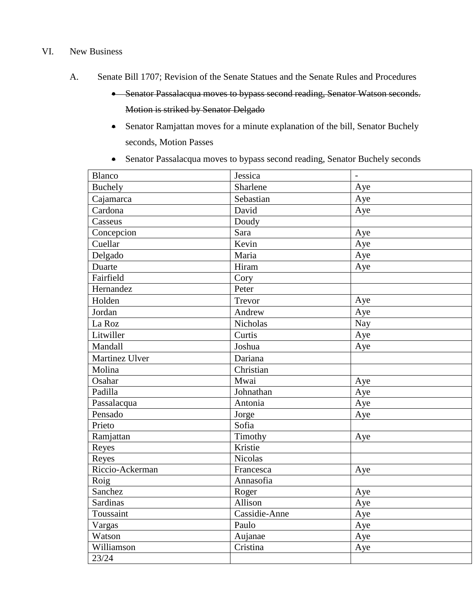#### VI. New Business

- A. Senate Bill 1707; Revision of the Senate Statues and the Senate Rules and Procedures
	- Senator Passalacqua moves to bypass second reading, Senator Watson seconds. Motion is striked by Senator Delgado
	- Senator Ramjattan moves for a minute explanation of the bill, Senator Buchely seconds, Motion Passes
	- Senator Passalacqua moves to bypass second reading, Senator Buchely seconds

| <b>Blanco</b>   | Jessica        | $\qquad \qquad \blacksquare$ |
|-----------------|----------------|------------------------------|
| Buchely         | Sharlene       | Aye                          |
| Cajamarca       | Sebastian      | Aye                          |
| Cardona         | David          | Aye                          |
| Casseus         | Doudy          |                              |
| Concepcion      | Sara           | Aye                          |
| Cuellar         | Kevin          | Aye                          |
| Delgado         | Maria          | Aye                          |
| Duarte          | Hiram          | Aye                          |
| Fairfield       | Cory           |                              |
| Hernandez       | Peter          |                              |
| Holden          | Trevor         | Aye                          |
| Jordan          | Andrew         | Aye                          |
| La Roz          | Nicholas       | Nay                          |
| Litwiller       | Curtis         | Aye                          |
| Mandall         | Joshua         | Aye                          |
| Martinez Ulver  | Dariana        |                              |
| Molina          | Christian      |                              |
| Osahar          | Mwai           | Aye                          |
| Padilla         | Johnathan      | Aye                          |
| Passalacqua     | Antonia        | Aye                          |
| Pensado         | Jorge          | Aye                          |
| Prieto          | Sofia          |                              |
| Ramjattan       | Timothy        | Aye                          |
| Reyes           | Kristie        |                              |
| Reyes           | <b>Nicolas</b> |                              |
| Riccio-Ackerman | Francesca      | Aye                          |
| Roig            | Annasofia      |                              |
| Sanchez         | Roger          | Aye                          |
| Sardinas        | Allison        | Aye                          |
| Toussaint       | Cassidie-Anne  | Aye                          |
| Vargas          | Paulo          | Aye                          |
| Watson          | Aujanae        | Aye                          |
| Williamson      | Cristina       | Aye                          |
| 23/24           |                |                              |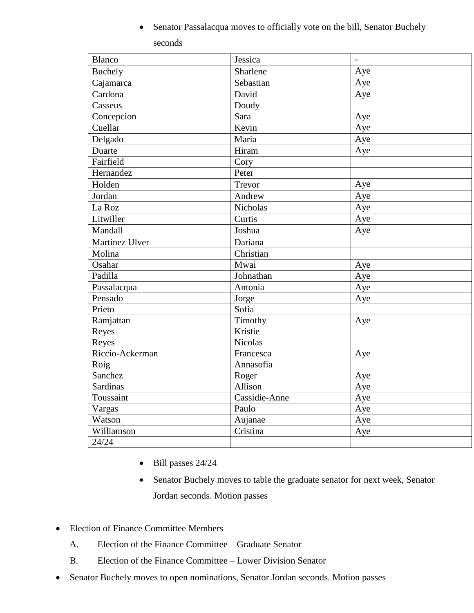Senator Passalacqua moves to officially vote on the bill, Senator Buchely seconds

| <b>Blanco</b>   | Jessica         | $\qquad \qquad -$ |
|-----------------|-----------------|-------------------|
|                 | Sharlene        |                   |
| <b>Buchely</b>  |                 | Aye               |
| Cajamarca       | Sebastian       | Aye               |
| Cardona         | David           | Aye               |
| Casseus         | Doudy           |                   |
| Concepcion      | Sara            | Aye               |
| Cuellar         | Kevin           | Aye               |
| Delgado         | Maria           | Aye               |
| Duarte          | Hiram           | Aye               |
| Fairfield       | Cory            |                   |
| Hernandez       | Peter           |                   |
| Holden          | Trevor          | Aye               |
| Jordan          | Andrew          | Aye               |
| La Roz          | <b>Nicholas</b> | Aye               |
| Litwiller       | Curtis          | Aye               |
| Mandall         | Joshua          | Aye               |
| Martinez Ulver  | Dariana         |                   |
| Molina          | Christian       |                   |
| Osahar          | Mwai            | Aye               |
| Padilla         | Johnathan       | Aye               |
| Passalacqua     | Antonia         | Aye               |
| Pensado         | Jorge           | Aye               |
| Prieto          | Sofia           |                   |
| Ramjattan       | Timothy         | Aye               |
| Reyes           | Kristie         |                   |
| Reyes           | <b>Nicolas</b>  |                   |
| Riccio-Ackerman | Francesca       | Aye               |
| Roig            | Annasofia       |                   |
| Sanchez         | Roger           | Aye               |
| <b>Sardinas</b> | Allison         | Aye               |
| Toussaint       | Cassidie-Anne   | Aye               |
| Vargas          | Paulo           | Aye               |
| Watson          | Aujanae         | Aye               |
| Williamson      | Cristina        | Aye               |
| 24/24           |                 |                   |
|                 |                 |                   |

- $\bullet$  Bill passes 24/24
- Senator Buchely moves to table the graduate senator for next week, Senator Jordan seconds. Motion passes
- Election of Finance Committee Members
	- A. Election of the Finance Committee Graduate Senator
	- B. Election of the Finance Committee Lower Division Senator
- Senator Buchely moves to open nominations, Senator Jordan seconds. Motion passes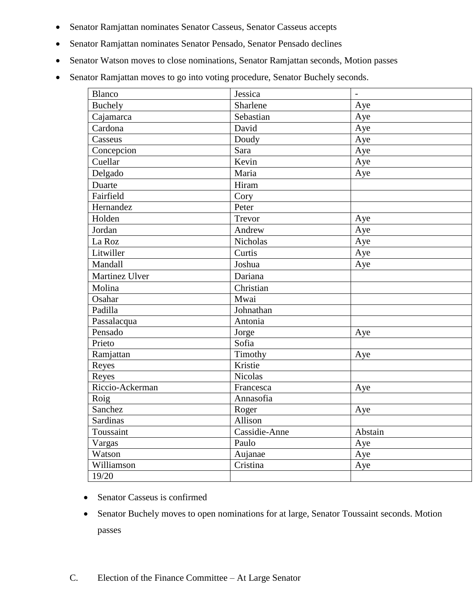- Senator Ramjattan nominates Senator Casseus, Senator Casseus accepts
- Senator Ramjattan nominates Senator Pensado, Senator Pensado declines
- Senator Watson moves to close nominations, Senator Ramjattan seconds, Motion passes
- Senator Ramjattan moves to go into voting procedure, Senator Buchely seconds.

| <b>Blanco</b>            | Jessica        | ÷,      |
|--------------------------|----------------|---------|
| <b>Buchely</b>           | Sharlene       | Aye     |
| Cajamarca                | Sebastian      | Aye     |
| Cardona                  | David          | Aye     |
| Casseus                  | Doudy          | Aye     |
| Concepcion               | Sara           | Aye     |
| Cuellar                  | Kevin          | Aye     |
| Delgado                  | Maria          | Aye     |
| Duarte                   | Hiram          |         |
| Fairfield                | Cory           |         |
| Hernandez                | Peter          |         |
| Holden                   | Trevor         | Aye     |
| Jordan                   | Andrew         | Aye     |
| La Roz                   | Nicholas       | Aye     |
| Litwiller                | Curtis         | Aye     |
| Mandall                  | Joshua         | Aye     |
| Martinez Ulver           | Dariana        |         |
| Molina                   | Christian      |         |
| Osahar                   | Mwai           |         |
| Padilla                  | Johnathan      |         |
| Passalacqua              | Antonia        |         |
| Pensado                  | Jorge          | Aye     |
| Prieto                   | Sofia          |         |
| Ramjattan                | Timothy        | Aye     |
| Reyes                    | Kristie        |         |
| Reyes                    | <b>Nicolas</b> |         |
| Riccio-Ackerman          | Francesca      | Aye     |
| $\overline{\text{Roig}}$ | Annasofia      |         |
| Sanchez                  | Roger          | Aye     |
| <b>Sardinas</b>          | Allison        |         |
| Toussaint                | Cassidie-Anne  | Abstain |
| Vargas                   | Paulo          | Aye     |
| Watson                   | Aujanae        | Aye     |
| Williamson               | Cristina       | Aye     |
| 19/20                    |                |         |

- Senator Casseus is confirmed
- Senator Buchely moves to open nominations for at large, Senator Toussaint seconds. Motion passes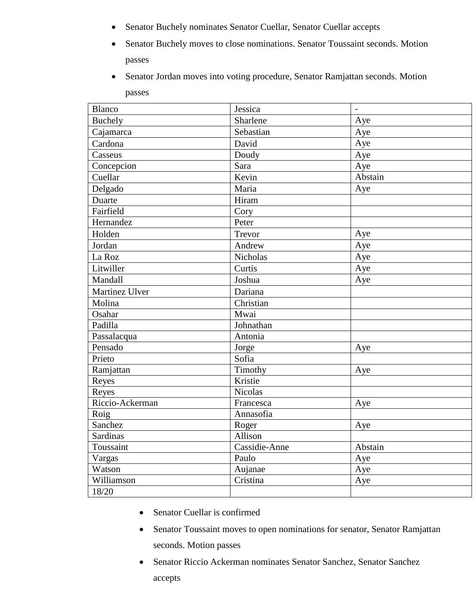- Senator Buchely nominates Senator Cuellar, Senator Cuellar accepts
- Senator Buchely moves to close nominations. Senator Toussaint seconds. Motion passes
- Senator Jordan moves into voting procedure, Senator Ramjattan seconds. Motion passes

| <b>Blanco</b>   | Jessica         | $\blacksquare$ |
|-----------------|-----------------|----------------|
| <b>Buchely</b>  | Sharlene        | Aye            |
| Cajamarca       | Sebastian       | Aye            |
| Cardona         | David           | Aye            |
| Casseus         | Doudy           | Aye            |
| Concepcion      | Sara            | Aye            |
| Cuellar         | Kevin           | Abstain        |
| Delgado         | Maria           | Aye            |
| Duarte          | Hiram           |                |
| Fairfield       | Cory            |                |
| Hernandez       | Peter           |                |
| Holden          | Trevor          | Aye            |
| Jordan          | Andrew          | Aye            |
| La Roz          | <b>Nicholas</b> | Aye            |
| Litwiller       | Curtis          | Aye            |
| Mandall         | Joshua          | Aye            |
| Martinez Ulver  | Dariana         |                |
| Molina          | Christian       |                |
| Osahar          | Mwai            |                |
| Padilla         | Johnathan       |                |
| Passalacqua     | Antonia         |                |
| Pensado         | Jorge           | Aye            |
| Prieto          | Sofia           |                |
| Ramjattan       | Timothy         | Aye            |
| Reyes           | Kristie         |                |
| Reyes           | <b>Nicolas</b>  |                |
| Riccio-Ackerman | Francesca       | Aye            |
| Roig            | Annasofia       |                |
| Sanchez         | Roger           | Aye            |
| <b>Sardinas</b> | Allison         |                |
| Toussaint       | Cassidie-Anne   | Abstain        |
| Vargas          | Paulo           | Aye            |
| Watson          | Aujanae         | Aye            |
| Williamson      | Cristina        | Aye            |
| 18/20           |                 |                |

- Senator Cuellar is confirmed
- Senator Toussaint moves to open nominations for senator, Senator Ramjattan seconds. Motion passes
- Senator Riccio Ackerman nominates Senator Sanchez, Senator Sanchez accepts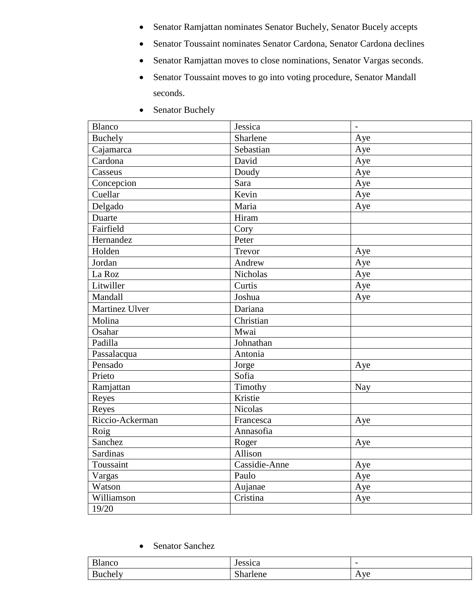- Senator Ramjattan nominates Senator Buchely, Senator Bucely accepts
- Senator Toussaint nominates Senator Cardona, Senator Cardona declines
- Senator Ramjattan moves to close nominations, Senator Vargas seconds.
- Senator Toussaint moves to go into voting procedure, Senator Mandall seconds.
- Senator Buchely

| <b>Blanco</b>   | Jessica        | $\overline{\phantom{m}}$ |
|-----------------|----------------|--------------------------|
| <b>Buchely</b>  | Sharlene       | Aye                      |
| Cajamarca       | Sebastian      | Aye                      |
| Cardona         | David          | Aye                      |
| Casseus         | Doudy          | Aye                      |
| Concepcion      | Sara           | Aye                      |
| Cuellar         | Kevin          | Aye                      |
| Delgado         | Maria          | Aye                      |
| Duarte          | Hiram          |                          |
| Fairfield       | Cory           |                          |
| Hernandez       | Peter          |                          |
| Holden          | Trevor         | Aye                      |
| Jordan          | Andrew         | Aye                      |
| La Roz          | Nicholas       | Aye                      |
| Litwiller       | Curtis         | Aye                      |
| Mandall         | Joshua         | Aye                      |
| Martinez Ulver  | Dariana        |                          |
| Molina          | Christian      |                          |
| Osahar          | Mwai           |                          |
| Padilla         | Johnathan      |                          |
| Passalacqua     | Antonia        |                          |
| Pensado         | Jorge          | Aye                      |
| Prieto          | Sofia          |                          |
| Ramjattan       | Timothy        | <b>Nay</b>               |
| Reyes           | Kristie        |                          |
| Reyes           | <b>Nicolas</b> |                          |
| Riccio-Ackerman | Francesca      | Aye                      |
| Roig            | Annasofia      |                          |
| Sanchez         | Roger          | Aye                      |
| <b>Sardinas</b> | Allison        |                          |
| Toussaint       | Cassidie-Anne  | Aye                      |
| Vargas          | Paulo          | Aye                      |
| Watson          | Aujanae        | Aye                      |
| Williamson      | Cristina       | Aye                      |
| 19/20           |                |                          |

## • Senator Sanchez

| D <sub>1</sub>      | lessic2                 | $\overline{\phantom{0}}$ |
|---------------------|-------------------------|--------------------------|
| <b>Blanco</b>       | ـ ـ ـ ـ ـ ـ ـ ـ ـ ـ ـ ـ |                          |
| D<br><b>Buchely</b> | $\sim$<br>Shariene      | Aye                      |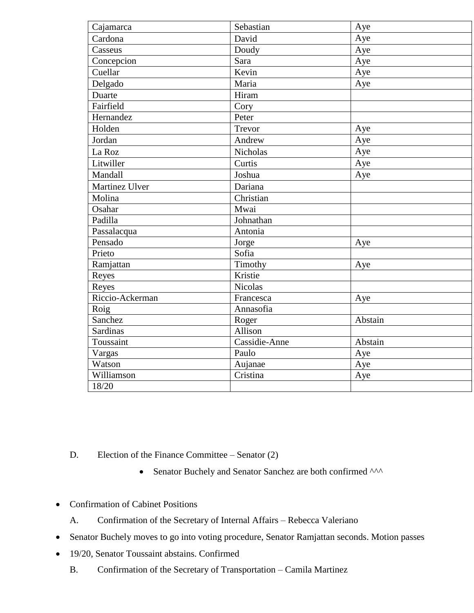| Cajamarca       | Sebastian       | Aye     |
|-----------------|-----------------|---------|
| Cardona         | David           | Aye     |
| Casseus         | Doudy           | Aye     |
| Concepcion      | Sara            | Aye     |
| Cuellar         | Kevin           | Aye     |
| Delgado         | Maria           | Aye     |
| Duarte          | Hiram           |         |
| Fairfield       | Cory            |         |
| Hernandez       | Peter           |         |
| Holden          | Trevor          | Aye     |
| Jordan          | Andrew          | Aye     |
| La Roz          | <b>Nicholas</b> | Aye     |
| Litwiller       | Curtis          | Aye     |
| Mandall         | Joshua          | Aye     |
| Martinez Ulver  | Dariana         |         |
| Molina          | Christian       |         |
| Osahar          | Mwai            |         |
| Padilla         | Johnathan       |         |
| Passalacqua     | Antonia         |         |
| Pensado         | Jorge           | Aye     |
| Prieto          | Sofia           |         |
| Ramjattan       | Timothy         | Aye     |
| Reyes           | Kristie         |         |
| Reyes           | <b>Nicolas</b>  |         |
| Riccio-Ackerman | Francesca       | Aye     |
| Roig            | Annasofia       |         |
| Sanchez         | Roger           | Abstain |
| <b>Sardinas</b> | Allison         |         |
| Toussaint       | Cassidie-Anne   | Abstain |
| Vargas          | Paulo           | Aye     |
| Watson          | Aujanae         | Aye     |
| Williamson      | Cristina        | Aye     |
| 18/20           |                 |         |

- D. Election of the Finance Committee Senator (2)
	- Senator Buchely and Senator Sanchez are both confirmed ^^^
- Confirmation of Cabinet Positions
	- A. Confirmation of the Secretary of Internal Affairs Rebecca Valeriano
- Senator Buchely moves to go into voting procedure, Senator Ramjattan seconds. Motion passes
- 19/20, Senator Toussaint abstains. Confirmed
	- B. Confirmation of the Secretary of Transportation Camila Martinez